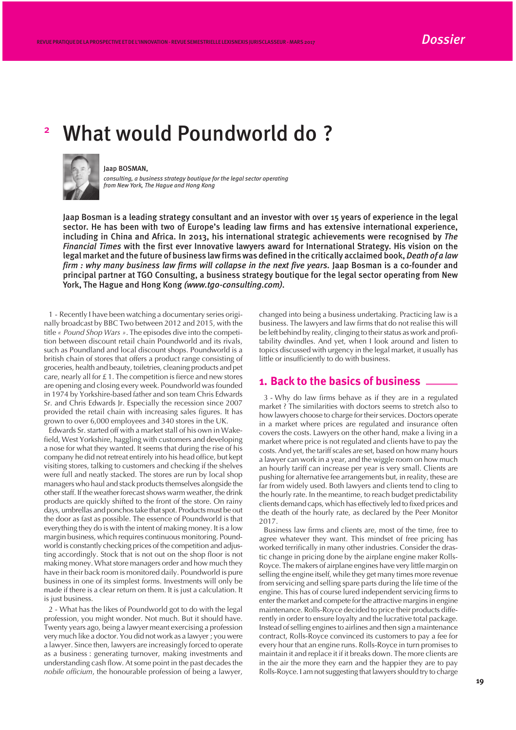# <sup>2</sup> What would Poundworld do ?



#### Jaap BOSMAN,

*consulting, a business strategy boutique for the legal sector operating from New York, The Hague and Hong Kong*

Jaap Bosman is a leading strategy consultant and an investor with over 15 years of experience in the legal sector. He has been with two of Europe's leading law firms and has extensive international experience, including in China and Africa. In 2013, his international strategic achievements were recognised by *The Financial Times* with the first ever Innovative lawyers award for International Strategy. His vision on the legal market and the future of business law firms was defined in the critically acclaimed book, *Death of a law firm : why many business law firms will collapse in the next five years.* Jaap Bosman is a co-founder and principal partner at TGO Consulting, a business strategy boutique for the legal sector operating from New York, The Hague and Hong Kong *(www.tgo-consulting.com).*

1 - Recently I have been watching a documentary series originally broadcast by BBC Two between 2012 and 2015, with the title *« Pound Shop Wars »*. The episodes dive into the competition between discount retail chain Poundworld and its rivals, such as Poundland and local discount shops. Poundworld is a british chain of stores that offers a product range consisting of groceries, health and beauty, toiletries, cleaning products and pet care, nearly all for £ 1. The competition is fierce and new stores are opening and closing every week. Poundworld was founded in 1974 by Yorkshire-based father and son team Chris Edwards Sr. and Chris Edwards Jr. Especially the recession since 2007 provided the retail chain with increasing sales figures. It has grown to over 6,000 employees and 340 stores in the UK.

Edwards Sr. started off with a market stall of his own in Wakefield, West Yorkshire, haggling with customers and developing a nose for what they wanted. It seems that during the rise of his company he did not retreat entirely into his head office, but kept visiting stores, talking to customers and checking if the shelves were full and neatly stacked. The stores are run by local shop managers who haul and stack products themselves alongside the other staff. If the weather forecast shows warm weather, the drink products are quickly shifted to the front of the store. On rainy days, umbrellas and ponchos take that spot. Products must be out the door as fast as possible. The essence of Poundworld is that everything they do is with the intent of making money. It is a low margin business, which requires continuous monitoring. Poundworld is constantly checking prices of the competition and adjusting accordingly. Stock that is not out on the shop floor is not making money. What store managers order and how much they have in their back room is monitored daily. Poundworld is pure business in one of its simplest forms. Investments will only be made if there is a clear return on them. It is just a calculation. It is just business.

2 - What has the likes of Poundworld got to do with the legal profession, you might wonder. Not much. But it should have. Twenty years ago, being a lawyer meant exercising a profession very much like a doctor. You did not work as a lawyer ; you were a lawyer. Since then, lawyers are increasingly forced to operate as a business : generating turnover, making investments and understanding cash flow. At some point in the past decades the *nobile officium*, the honourable profession of being a lawyer,

changed into being a business undertaking. Practicing law is a business. The lawyers and law firms that do not realise this will be left behind by reality, clinging to their status as work and profitability dwindles. And yet, when I look around and listen to topics discussed with urgency in the legal market, it usually has little or insufficiently to do with business.

### **1. Back to the basics of business**

3 - Why do law firms behave as if they are in a regulated market ? The similarities with doctors seems to stretch also to how lawyers choose to charge for their services. Doctors operate in a market where prices are regulated and insurance often covers the costs. Lawyers on the other hand, make a living in a market where price is not regulated and clients have to pay the costs. And yet, the tariff scales are set, based on how many hours a lawyer can work in a year, and the wiggle room on how much an hourly tariff can increase per year is very small. Clients are pushing for alternative fee arrangements but, in reality, these are far from widely used. Both lawyers and clients tend to cling to the hourly rate. In the meantime, to reach budget predictability clients demand caps, which has effectively led to fixed prices and the death of the hourly rate, as declared by the Peer Monitor 2017.

Business law firms and clients are, most of the time, free to agree whatever they want. This mindset of free pricing has worked terrifically in many other industries. Consider the drastic change in pricing done by the airplane engine maker Rolls-Royce. The makers of airplane engines have very little margin on selling the engine itself, while they get many times more revenue from servicing and selling spare parts during the life time of the engine. This has of course lured independent servicing firms to enter the market and compete for the attractive margins in engine maintenance. Rolls-Royce decided to price their products differently in order to ensure loyalty and the lucrative total package. Instead of selling engines to airlines and then sign a maintenance contract, Rolls-Royce convinced its customers to pay a fee for every hour that an engine runs. Rolls-Royce in turn promises to maintain it and replace it if it breaks down. The more clients are in the air the more they earn and the happier they are to pay Rolls-Royce. I am not suggesting that lawyers should try to charge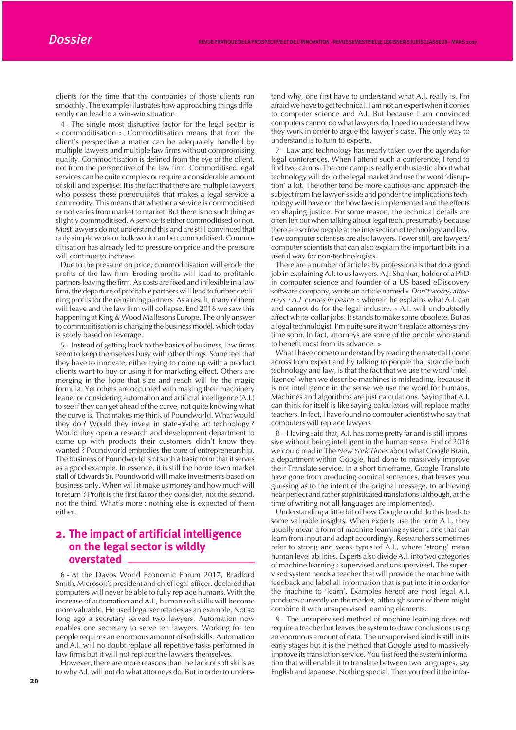clients for the time that the companies of those clients run smoothly. The example illustrates how approaching things differently can lead to a win-win situation.

4 - The single most disruptive factor for the legal sector is « commoditisation ». Commoditisation means that from the client's perspective a matter can be adequately handled by multiple lawyers and multiple law firms without compromising quality. Commoditisation is defined from the eye of the client, not from the perspective of the law firm. Commoditised legal services can be quite complex or require a considerable amount of skill and expertise. It is the fact that there are multiple lawyers who possess these prerequisites that makes a legal service a commodity. This means that whether a service is commoditised or not varies from market to market. But there is no such thing as slightly commoditised. A service is either commoditised or not. Most lawyers do not understand this and are still convinced that only simple work or bulk work can be commoditised. Commoditisation has already led to pressure on price and the pressure will continue to increase.

Due to the pressure on price, commoditisation will erode the profits of the law firm. Eroding profits will lead to profitable partners leaving the firm. As costs are fixed and inflexible in a law firm, the departure of profitable partners will lead to further declining profits for the remaining partners. As a result, many of them will leave and the law firm will collapse. End 2016 we saw this happening at King & Wood Mallesons Europe. The only answer to commoditisation is changing the business model, which today is solely based on leverage.

5 - Instead of getting back to the basics of business, law firms seem to keep themselves busy with other things. Some feel that they have to innovate, either trying to come up with a product clients want to buy or using it for marketing effect. Others are merging in the hope that size and reach will be the magic formula. Yet others are occupied with making their machinery leaner or considering automation and artificial intelligence (A.I.) to see if they can get ahead of the curve, not quite knowing what the curve is. That makes me think of Poundworld. What would they do ? Would they invest in state-of-the art technology ? Would they open a research and development department to come up with products their customers didn't know they wanted ? Poundworld embodies the core of entrepreneurship. The business of Poundworld is of such a basic form that it serves as a good example. In essence, it is still the home town market stall of Edwards Sr. Poundworld will make investments based on business only. When will it make us money and how much will it return ? Profit is the first factor they consider, not the second, not the third. What's more : nothing else is expected of them either.

# **2. The impact of artificial intelligence on the legal sector is wildly overstated**

6 - At the Davos World Economic Forum 2017, Bradford Smith, Microsoft's president and chief legal officer, declared that computers will never be able to fully replace humans. With the increase of automation and A.I., human soft skills will become more valuable. He used legal secretaries as an example. Not so long ago a secretary served two lawyers. Automation now enables one secretary to serve ten lawyers. Working for ten people requires an enormous amount of soft skills. Automation and A.I. will no doubt replace all repetitive tasks performed in law firms but it will not replace the lawyers themselves.

However, there are more reasons than the lack of soft skills as to why A.I. will not do what attorneys do. But in order to unders-

7 - Law and technology has nearly taken over the agenda for legal conferences. When I attend such a conference, I tend to find two camps. The one camp is really enthusiastic about what technology will do to the legal market and use the word 'disruption' a lot. The other tend be more cautious and approach the subject from the lawyer's side and ponder the implications technology will have on the how law is implemented and the effects on shaping justice. For some reason, the technical details are often left out when talking about legal tech, presumably because there are so few people at the intersection of technology and law. Few computer scientists are also lawyers. Fewer still, are lawyers/ computer scientists that can also explain the important bits in a useful way for non-technologists.

There are a number of articles by professionals that do a good job in explaining A.I. to us lawyers. A.J. Shankar, holder of a PhD in computer science and founder of a US-based eDiscovery software company, wrote an article named *« Don't worry, attorneys : A.I. comes in peace »* wherein he explains what A.I. can and cannot do for the legal industry. « A.I. will undoubtedly affect white-collar jobs. It stands to make some obsolete. But as a legal technologist, I'm quite sure it won't replace attorneys any time soon. In fact, attorneys are some of the people who stand to benefit most from its advance. »

What I have come to understand by reading the material I come across from expert and by talking to people that straddle both technology and law, is that the fact that we use the word 'intelligence' when we describe machines is misleading, because it is not intelligence in the sense we use the word for humans. Machines and algorithms are just calculations. Saying that A.I. can think for itself is like saying calculators will replace maths teachers. In fact, I have found no computer scientist who say that computers will replace lawyers.

8 - Having said that, A.I. has come pretty far and is still impressive without being intelligent in the human sense. End of 2016 we could read in The *New York Times* about what Google Brain, a department within Google, had done to massively improve their Translate service. In a short timeframe, Google Translate have gone from producing comical sentences, that leaves you guessing as to the intent of the original message, to achieving near perfect and rather sophisticated translations (although, at the time of writing not all languages are implemented).

Understanding a little bit of how Google could do this leads to some valuable insights. When experts use the term A.I., they usually mean a form of machine learning system : one that can learn from input and adapt accordingly. Researchers sometimes refer to strong and weak types of A.I., where 'strong' mean human level abilities. Experts also divide A.I. into two categories of machine learning : supervised and unsupervised. The supervised system needs a teacher that will provide the machine with feedback and label all information that is put into it in order for the machine to 'learn'. Examples hereof are most legal A.I. products currently on the market, although some of them might combine it with unsupervised learning elements.

9 - The unsupervised method of machine learning does not require a teacher but leaves the system to draw conclusions using an enormous amount of data. The unsupervised kind is still in its early stages but it is the method that Google used to massively improve its translation service. You first feed the system information that will enable it to translate between two languages, say English and Japanese. Nothing special. Then you feed it the infor-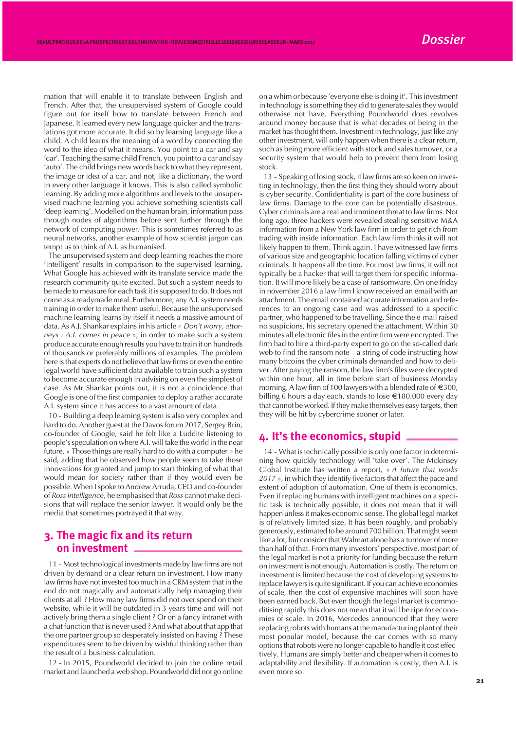mation that will enable it to translate between English and French. After that, the unsupervised system of Google could figure out for itself how to translate between French and Japanese. It learned every new language quicker and the translations got more accurate. It did so by learning language like a child. A child learns the meaning of a word by connecting the word to the idea of what it means. You point to a car and say 'car'. Teaching the same child French, you point to a car and say 'auto'. The child brings new words back to what they represent, the image or idea of a car, and not, like a dictionary, the word in every other language it knows. This is also called symbolic learning. By adding more algorithms and levels to the unsupervised machine learning you achieve something scientists call 'deep learning'. Modelled on the human brain, information pass through nodes of algorithms before sent further through the network of computing power. This is sometimes referred to as neural networks, another example of how scientist jargon can tempt us to think of A.I. as humanised.

The unsupervised system and deep learning reaches the more 'intelligent' results in comparison to the supervised learning. What Google has achieved with its translate service made the research community quite excited. But such a system needs to be made to measure for each task it is supposed to do. It does not come as a readymade meal. Furthermore, any A.I. system needs training in order to make them useful. Because the unsupervised machine learning learns by itself it needs a massive amount of data. As A.J. Shankar explains in his article *« Don't worry, attorneys : A.I. comes in peace »*, in order to make such a system produce accurate enough results you have to train it on hundreds of thousands or preferably millions of examples. The problem here is that experts do not believe that law firms or even the entire legal world have sufficient data available to train such a system to become accurate enough in advising on even the simplest of case. As Mr Shankar points out, it is not a coincidence that Google is one of the first companies to deploy a rather accurate A.I. system since it has access to a vast amount of data.

10 - Building a deep learning system is also very complex and hard to do. Another guest at the Davos forum 2017, Sergey Brin, co-founder of Google, said he felt like a Luddite listening to people's speculation on where A.I. will take the world in the near future. « Those things are really hard to do with a computer » he said, adding that he observed how people seem to take those innovations for granted and jump to start thinking of what that would mean for society rather than if they would even be possible. When I spoke to Andrew Arruda, CEO and co-founder of *Ross Intelligence*, he emphasised that *Ross* cannot make decisions that will replace the senior lawyer. It would only be the media that sometimes portrayed it that way.

## **3. The magic fix and its return on investment**

11 - Most technological investments made by law firms are not driven by demand or a clear return on investment. How many law firms have not invested too much in a CRM system that in the end do not magically and automatically help managing their clients at all ? How many law firms did not over spend on their website, while it will be outdated in 3 years time and will not actively bring them a single client ? Or on a fancy intranet with a chat function that is never used ? And what about that app that the one partner group so desperately insisted on having ? These expenditures seem to be driven by wishful thinking rather than the result of a business calculation.

12 - In 2015, Poundworld decided to join the online retail market and launched a web shop. Poundworld did not go online

on a whim or because 'everyone else is doing it'. This investment in technology is something they did to generate sales they would otherwise not have. Everything Poundworld does revolves around money because that is what decades of being in the market has thought them. Investment in technology, just like any other investment, will only happen when there is a clear return, such as being more efficient with stock and sales turnover, or a security system that would help to prevent them from losing stock.

13 - Speaking of losing stock, if law firms are so keen on investing in technology, then the first thing they should worry about is cyber security. Confidentiality is part of the core business of law firms. Damage to the core can be potentially disastrous. Cyber criminals are a real and imminent threat to law firms. Not long ago, three hackers were revealed stealing sensitive M&A information from a New York law firm in order to get rich from trading with inside information. Each law firm thinks it will not likely happen to them. Think again. I have witnessed law firms of various size and geographic location falling victims of cyber criminals. It happens all the time. For most law firms, it will not typically be a hacker that will target them for specific information. It will more likely be a case of ransomware. On one friday in november 2016 a law firm I know received an email with an attachment. The email contained accurate information and references to an ongoing case and was addressed to a specific partner, who happened to be travelling. Since the e-mail raised no suspicions, his secretary opened the attachment. Within 30 minutes all electronic files in the entire firm were encrypted. The firm had to hire a third-party expert to go on the so-called dark web to find the ransom note – a string of code instructing how many bitcoins the cyber criminals demanded and how to deliver. After paying the ransom, the law firm's files were decrypted within one hour, all in time before start of business Monday morning. A law firm of 100 lawyers with a blended rate of  $\in$  300, billing 6 hours a day each, stands to lose  $\in$ 180.000 every day that cannot be worked. If they make themselves easy targets, then they will be hit by cybercrime sooner or later.

# **4. It's the economics, stupid**

14 - What is technically possible is only one factor in determining how quickly technology will 'take over'. The Mckinsey Global Institute has written a report, *« A future that works 2017* », in which they identify five factors that affect the pace and extent of adoption of automation. One of them is economics. Even if replacing humans with intelligent machines on a specific task is technically possible, it does not mean that it will happen unless it makes economic sense. The global legal market is of relatively limited size. It has been roughly, and probably generously, estimated to be around 700 billion. That might seem like a lot, but consider that Walmart alone has a turnover of more than half of that. From many investors' perspective, most part of the legal market is not a priority for funding because the return on investment is not enough. Automation is costly. The return on investment is limited because the cost of developing systems to replace lawyers is quite significant. If you can achieve economies of scale, then the cost of expensive machines will soon have been earned back. But even though the legal market is commoditising rapidly this does not mean that it will be ripe for economies of scale. In 2016, Mercedes announced that they were replacing robots with humans at the manufacturing plant of their most popular model, because the car comes with so many options that robots were no longer capable to handle it cost effectively. Humans are simply better and cheaper when it comes to adaptability and flexibility. If automation is costly, then A.I. is even more so.